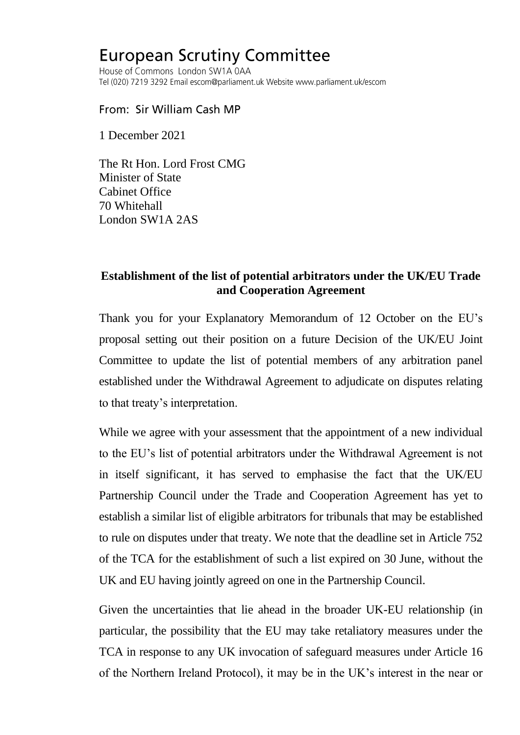## **European Scrutiny Committee**

House of Commons London SW1A 0AA Tel (020) 7219 3292 Email escom@parliament.uk Website www.parliament.uk/escom

From: Sir William Cash MP

1 December 2021

The Rt Hon. Lord Frost CMG Minister of State Cabinet Office 70 Whitehall London SW1A 2AS

## **Establishment of the list of potential arbitrators under the UK/EU Trade and Cooperation Agreement**

Thank you for your Explanatory Memorandum of 12 October on the EU's proposal setting out their position on a future Decision of the UK/EU Joint Committee to update the list of potential members of any arbitration panel established under the Withdrawal Agreement to adjudicate on disputes relating to that treaty's interpretation.

While we agree with your assessment that the appointment of a new individual to the EU's list of potential arbitrators under the Withdrawal Agreement is not in itself significant, it has served to emphasise the fact that the UK/EU Partnership Council under the Trade and Cooperation Agreement has yet to establish a similar list of eligible arbitrators for tribunals that may be established to rule on disputes under that treaty. We note that the deadline set in Article 752 of the TCA for the establishment of such a list expired on 30 June, without the UK and EU having jointly agreed on one in the Partnership Council.

Given the uncertainties that lie ahead in the broader UK-EU relationship (in particular, the possibility that the EU may take retaliatory measures under the TCA in response to any UK invocation of safeguard measures under Article 16 of the Northern Ireland Protocol), it may be in the UK's interest in the near or